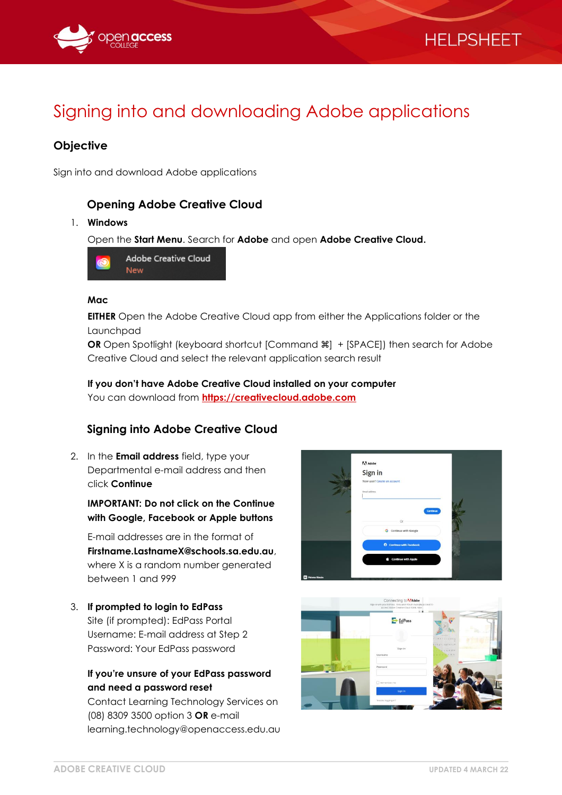

# Signing into and downloading Adobe applications

## **Objective**

Sign into and download Adobe applications

## **Opening Adobe Creative Cloud**

#### 1. **Windows**

Open the **Start Menu**. Search for **Adobe** and open **Adobe Creative Cloud.**



#### **Mac**

**EITHER** Open the Adobe Creative Cloud app from either the Applications folder or the Launchpad

**OR** Open Spotlight (keyboard shortcut [Command  $\mathcal{H}$ ] + [SPACE]) then search for Adobe Creative Cloud and select the relevant application search result

#### **If you don't have Adobe Creative Cloud installed on your computer** You can download from **[https://creativecloud.adobe.com](https://creativecloud.adobe.com/)**

## **Signing into Adobe Creative Cloud**

2. In the **Email address** field, type your Departmental e-mail address and then click **Continue**

### **IMPORTANT: Do not click on the Continue with Google, Facebook or Apple buttons**

E-mail addresses are in the format of **Firstname.LastnameX@schools.sa.edu.au**, where X is a random number generated between 1 and 999

3. **If prompted to login to EdPass** Site (if prompted): EdPass Portal Username: E-mail address at Step 2 Password: Your EdPass password

## **If you're unsure of your EdPass password and need a password reset**

Contact Learning Technology Services on (08) 8309 3500 option 3 **OR** e-mail learning.technology@openaccess.edu.au